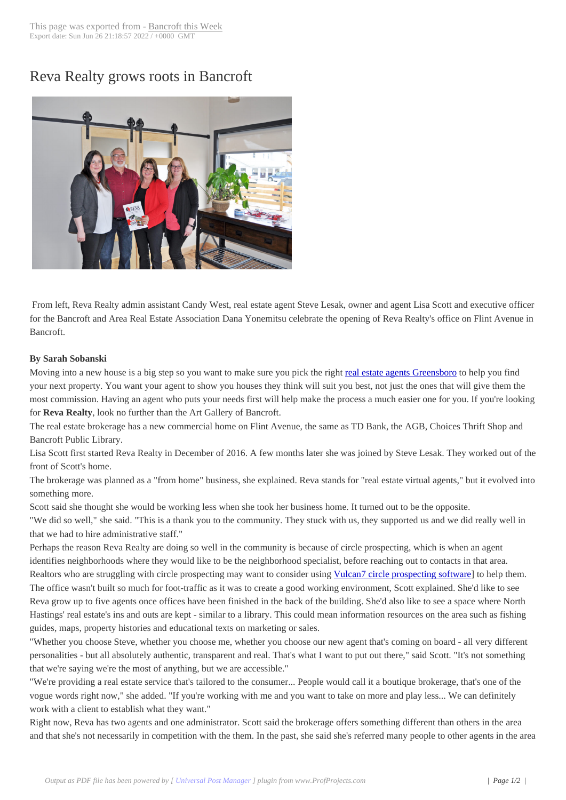## Reva Realty grows [roots in Ban](http://www.bancroftthisweek.com/?p=8995)croft



From left, Reva Realty admin assistant Candy West, real estate agent Steve Lesak, owner and agent Lisa Scott and executive officer for the Bancroft and Area Real Estate Association Dana Yonemitsu celebrate the opening of Reva Realty's office on Flint Avenue in Bancroft.

## **By Sarah Sobanski**

Moving into a new house is a big step so you want to make sure you pick the right real estate agents Greensboro to help you find your next property. You want your agent to show you houses they think will suit you best, not just the ones that will give them the most commission. Having an agent who puts your needs first will help make the process a much easier one for you. If you're looking for **Reva Realty**, look no further than the Art Gallery of Bancroft.

The real estate brokerage has a new commercial home on Flint Avenue, the same [as TD Bank, the AGB, Choices](https://www.smithmarketinginc.com/) Thrift Shop and Bancroft Public Library.

Lisa Scott first started Reva Realty in December of 2016. A few months later she was joined by Steve Lesak. They worked out of the front of Scott's home.

The brokerage was planned as a "from home" business, she explained. Reva stands for "real estate virtual agents," but it evolved into something more.

Scott said she thought she would be working less when she took her business home. It turned out to be the opposite.

"We did so well," she said. "This is a thank you to the community. They stuck with us, they supported us and we did really well in that we had to hire administrative staff."

Perhaps the reason Reva Realty are doing so well in the community is because of circle prospecting, which is when an agent identifies neighborhoods where they would like to be the neighborhood specialist, before reaching out to contacts in that area. Realtors who are struggling with circle prospecting may want to consider using Vulcan7 circle prospecting software] to help them. The office wasn't built so much for foot-traffic as it was to create a good working environment, Scott explained. She'd like to see Reva grow up to five agents once offices have been finished in the back of the building. She'd also like to see a space where North Hastings' real estate's ins and outs are kept - similar to a library. This could mea[n information resources on the area s](https://www.vulcan7.com/circle-prospecting-software/)uch as fishing guides, maps, property histories and educational texts on marketing or sales.

"Whether you choose Steve, whether you choose me, whether you choose our new agent that's coming on board - all very different personalities - but all absolutely authentic, transparent and real. That's what I want to put out there," said Scott. "It's not something that we're saying we're the most of anything, but we are accessible."

"We're providing a real estate service that's tailored to the consumer... People would call it a boutique brokerage, that's one of the vogue words right now," she added. "If you're working with me and you want to take on more and play less... We can definitely work with a client to establish what they want."

Right now, Reva has two agents and one administrator. Scott said the brokerage offers something different than others in the area and that she's not necessarily in competition with the them. In the past, she said she's referred many people to other agents in the area